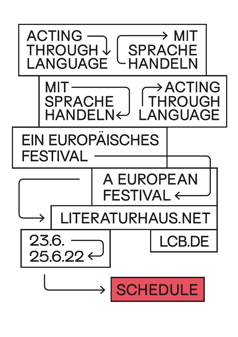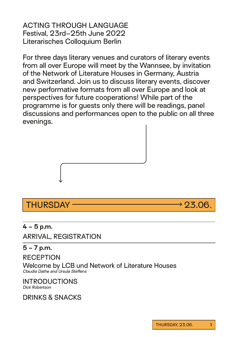ACTING THROUGH LANGUAGE Festival, 23rd–25th June 2022 Literarisches Colloquium Berlin

For three days literary venues and curators of literary events from all over Europe will meet by the Wannsee, by invitation of the Network of Literature Houses in Germany, Austria and Switzerland. Join us to discuss literary events, discover new performative formats from all over Europe and look at perspectives for future cooperations! While part of the programme is for guests only there will be readings, panel discussions and performances open to the public on all three evenings.



## THURSDAY 23.06.

## **4 – 5 p.m.**

ARRIVAL, REGISTRATION

## **5 – 7 p.m.**

RECEPTION

Welcome by LCB und Network of Literature Houses *Claudia Dathe and Ursula Steffens*

INTRODUCTIONS *Dick Robertson*

DRINKS & SNACKS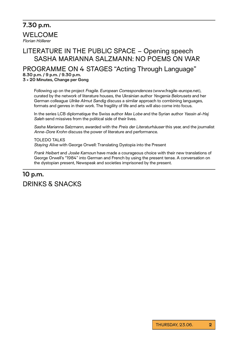**7.30 p.m.** WELCOME *Florian Höllerer*

## LITERATURE IN THE PUBLIC SPACE – Opening speech SASHA MARIANNA SALZMANN: NO POEMS ON WAR

PROGRAMME ON 4 STAGES "Acting Through Language" **8.30 p.m. / 9 p.m. / 9.30 p.m.**

**3 × 20 Minutes, Change per Gong**

Following up on the project *Fragile. European Correspondences* (www.fragile-europe.net), curated by the network of literature houses, the Ukrainian author *Yevgenia Belorusets* and her German colleague *Ulrike Almut Sandig* discuss a similar approach to combining languages, formats and genres in their work. The fragility of life and arts will also come into focus.

In the series LCB diplomatique the Swiss author *Max Lobe* and the Syrian author *Yassin al-Haj Saleh* send missives from the political side of their lives.

*Sasha Marianna Salzmann*, awarded with the *Preis der Literaturhäuser* this year, and the journalist *Anne-Dore Krohn* discuss the power of literature and performance.

TOLEDO TALKS *Staying Alive* with George Orwell: Translating Dystopia into the Present

*Frank Heibert* and *Josée Kamoun* have made a courageous choice with their new translations of George Orwell's "1984" into German and French by using the present tense. A conversation on the dystopian present, Newspeak and societies imprisoned by the present.

## **10 p.m.** DRINKS & SNACKS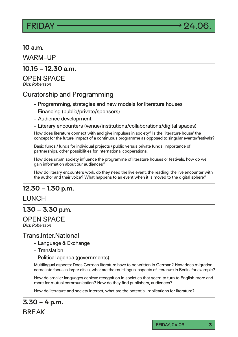

### **10 a.m.**

WARM-UP

### **10.15 – 12.30 a.m.**

### OPEN SPACE

*Dick Robertson*

## Curatorship and Programming

- Programming, strategies and new models for literature houses
- Financing (public/private/sponsors)
- Audience development
- Literary encounters (venue/institutions/collaborations/digital spaces)

How does literature connect with and give impulses in society? Is the 'literature house' the concept for the future, impact of a continuous programme as opposed to singular events/festivals?

Basic funds / funds for individual projects / public versus private funds; importance of partnerships, other possibilities for international cooperations.

How does urban society influence the programme of literature houses or festivals, how do we gain information about our audiences?

How do literary encounters work, do they need the live event, the reading, the live encounter with the author and their voice? What happens to an event when it is moved to the digital sphere?

## **12.30 – 1.30 p.m.**

### LUNCH

### **1.30 – 3.30 p.m.**

### OPEN SPACE

*Dick Robertson*

### Trans.Inter.National

- Language & Exchange
- Translation
- Political agenda (governments)

Multilingual aspects: Does German literature have to be written in German? How does migration come into focus in larger cities, what are the multilingual aspects of literature in Berlin, for example?

How do smaller languages achieve recognition in societies that seem to turn to English more and more for mutual communication? How do they find publishers, audiences?

How do literature and society interact, what are the potential implications for literature?

**3.30 – 4 p.m.** BREAK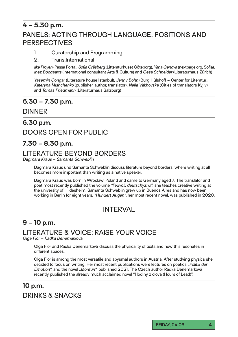## **4 – 5.30 p.m.**

## PANELS: ACTING THROUGH LANGUAGE. POSITIONS AND PERSPECTIVES

### 1. Curatorship and Programming

### 2. Trans.International

*Ilke Froyen* (Passa Porta), *Sofia Gräsberg* (Litteraturhuset Göteborg), *Yana Genova* (nextpage.org, Sofia), *Inez Boogaarts* (International consultant Arts & Culture) and *Gesa Schneider* (Literaturhaus Zürich)

*Yasemin Çongar* (Literature house Istanbul), *Jenny Bohn* (Burg Hülshoff – Center for Literatur), *Kateryna Mishchenko* (publisher, author, translator), *Nelia Vakhovska* (Cities of translators Kyjiv) and *Tomas Friedmann* (Literaturhaus Salzburg)

## **5.30 – 7.30 p.m.**

## DINNER

## **6.30 p.m.** DOORS OPEN FOR PUBLIC

## **7.30 – 8.30 p.m.**

## LITERATURE BEYOND BORDERS

*Dagmara Kraus – Samanta Schweblin*

Dagmara Kraus und Samanta Schweblin discuss literature beyond borders, where writing at all becomes more important than writing as a native speaker.

Dagmara Kraus was born in Wroclaw, Poland and came to Germany aged 7. The translator and poet most recently published the volume *"liedvoll, deutschyzno"*, she teaches creative writing at the university of Hildesheim. Samanta Schweblin grew up in Buenos Aires and has now been working in Berlin for eight years. *"Hundert Augen"*, her most recent novel, was published in 2020.

## INTERVAL

## **9 – 10 p.m.**

## LITERATURE & VOICE: RAISE YOUR VOICE

*Olga Flor – Radka Denemarková*

Olga Flor and Radka Denemarková discuss the physicality of texts and how this resonates in different spaces.

Olga Flor is among the most versatile and abysmal authors in Austria. After studying physics she decided to focus on writing. Her most recent publications were lectures on poetics *"Politik der Emotion"*, and the novel *"Morituri"*, published 2021. The Czech author Radka Denemarková recently published the already much acclaimed novel "Hodiny z olova (Hours of Lead)".

## **10 p.m.**  DRINKS & SNACKS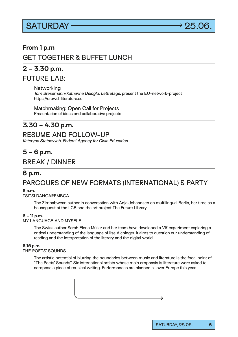# $SATURDAY$   $\longrightarrow$  25.06



## **From 1 p.m**

## GET TOGETHER & BUFFET LUNCH

## **2 – 3.30 p.m.**

FUTURE LAB:

**Networking** 

*Tom Bresemann/Katharina Deloglu, Lettrétage,* present the EU-network-project https://crowd-literature.eu

Matchmaking: Open Call for Projects Presentation of ideas and collaborative projects

## **3.30 – 4.30 p.m.**

### RESUME AND FOLLOW-UP

*Kateryna Stetsevych, Federal Agency for Civic Education*

## **5 – 6 p.m.**

## BREAK / DINNER

## **6 p.m.** PARCOURS OF NEW FORMATS (INTERNATIONAL) & PARTY

### **6 p.m.**

TSITSI DANGAREMBGA

The Zimbabwean author in conversation with Anja Johannsen on multilingual Berlin, her time as a houseguest at the LCB and the art project The Future Library.

### **6 – 11 p.m.**

MY LANGUAGE AND MYSELF

The Swiss author Sarah Elena Müller and her team have developed a VR experiment exploring a critical understanding of the language of Ilse Aichinger. It aims to question our understanding of reading and the interpretation of the literary and the digital world.

#### **6.15 p.m.**

#### THE POETS' SOUNDS

The artistic potential of blurring the boundaries between music and literature is the focal point of "The Poets' Sounds". Six international artists whose main emphasis is literature were asked to compose a piece of musical writing. Performances are planned all over Europe this year.